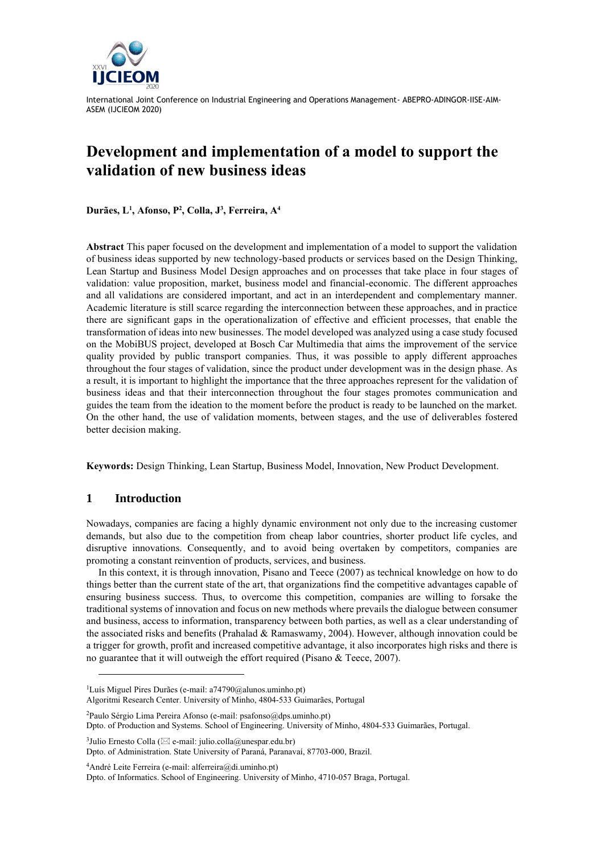

# **Development and implementation of a model to support the validation of new business ideas**

**Durães, L<sup>1</sup> , Afonso, P<sup>2</sup> , Colla, J 3 , Ferreira, A<sup>4</sup>**

**Abstract** This paper focused on the development and implementation of a model to support the validation of business ideas supported by new technology-based products or services based on the Design Thinking, Lean Startup and Business Model Design approaches and on processes that take place in four stages of validation: value proposition, market, business model and financial-economic. The different approaches and all validations are considered important, and act in an interdependent and complementary manner. Academic literature is still scarce regarding the interconnection between these approaches, and in practice there are significant gaps in the operationalization of effective and efficient processes, that enable the transformation of ideas into new businesses. The model developed was analyzed using a case study focused on the MobiBUS project, developed at Bosch Car Multimedia that aims the improvement of the service quality provided by public transport companies. Thus, it was possible to apply different approaches throughout the four stages of validation, since the product under development was in the design phase. As a result, it is important to highlight the importance that the three approaches represent for the validation of business ideas and that their interconnection throughout the four stages promotes communication and guides the team from the ideation to the moment before the product is ready to be launched on the market. On the other hand, the use of validation moments, between stages, and the use of deliverables fostered better decision making.

**Keywords:** Design Thinking, Lean Startup, Business Model, Innovation, New Product Development.

### **1 Introduction**

Nowadays, companies are facing a highly dynamic environment not only due to the increasing customer demands, but also due to the competition from cheap labor countries, shorter product life cycles, and disruptive innovations. Consequently, and to avoid being overtaken by competitors, companies are promoting a constant reinvention of products, services, and business.

In this context, it is through innovation, Pisano and Teece (2007) as technical knowledge on how to do things better than the current state of the art, that organizations find the competitive advantages capable of ensuring business success. Thus, to overcome this competition, companies are willing to forsake the traditional systems of innovation and focus on new methods where prevails the dialogue between consumer and business, access to information, transparency between both parties, as well as a clear understanding of the associated risks and benefits (Prahalad & Ramaswamy, 2004). However, although innovation could be a trigger for growth, profit and increased competitive advantage, it also incorporates high risks and there is no guarantee that it will outweigh the effort required (Pisano & Teece, 2007).

<sup>2</sup>Paulo Sérgio Lima Pereira Afonso (e-mail: psafonso@dps.uminho.pt) Dpto. of Production and Systems. School of Engineering. University of Minho, 4804-533 Guimarães, Portugal.

<sup>3</sup>Julio Ernesto Colla ( $\boxtimes$  e-mail: julio.colla@unespar.edu.br) Dpto. of Administration. State University of Paraná, Paranavaí, 87703-000, Brazil.

<sup>4</sup>André Leite Ferreira (e-mail: alferreira@di.uminho.pt)

Dpto. of Informatics. School of Engineering. University of Minho, 4710-057 Braga, Portugal.

<sup>&</sup>lt;sup>1</sup>Luís Miguel Pires Durães (e-mail: a74790@alunos.uminho.pt)

Algoritmi Research Center. University of Minho, 4804-533 Guimarães, Portugal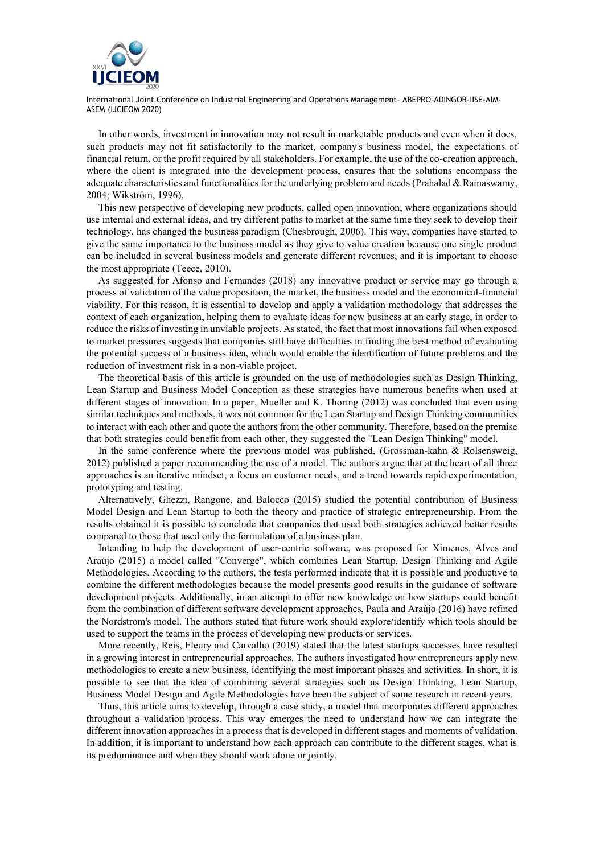

In other words, investment in innovation may not result in marketable products and even when it does, such products may not fit satisfactorily to the market, company's business model, the expectations of financial return, or the profit required by all stakeholders. For example, the use of the co-creation approach, where the client is integrated into the development process, ensures that the solutions encompass the adequate characteristics and functionalities for the underlying problem and needs (Prahalad & Ramaswamy, 2004; Wikström, 1996).

This new perspective of developing new products, called open innovation, where organizations should use internal and external ideas, and try different paths to market at the same time they seek to develop their technology, has changed the business paradigm (Chesbrough, 2006). This way, companies have started to give the same importance to the business model as they give to value creation because one single product can be included in several business models and generate different revenues, and it is important to choose the most appropriate (Teece, 2010).

As suggested for Afonso and Fernandes (2018) any innovative product or service may go through a process of validation of the value proposition, the market, the business model and the economical-financial viability. For this reason, it is essential to develop and apply a validation methodology that addresses the context of each organization, helping them to evaluate ideas for new business at an early stage, in order to reduce the risks of investing in unviable projects. As stated, the fact that most innovations fail when exposed to market pressures suggests that companies still have difficulties in finding the best method of evaluating the potential success of a business idea, which would enable the identification of future problems and the reduction of investment risk in a non-viable project.

The theoretical basis of this article is grounded on the use of methodologies such as Design Thinking, Lean Startup and Business Model Conception as these strategies have numerous benefits when used at different stages of innovation. In a paper, Mueller and K. Thoring (2012) was concluded that even using similar techniques and methods, it was not common for the Lean Startup and Design Thinking communities to interact with each other and quote the authors from the other community. Therefore, based on the premise that both strategies could benefit from each other, they suggested the "Lean Design Thinking" model.

In the same conference where the previous model was published, (Grossman-kahn & Rolsensweig, 2012) published a paper recommending the use of a model. The authors argue that at the heart of all three approaches is an iterative mindset, a focus on customer needs, and a trend towards rapid experimentation, prototyping and testing.

Alternatively, Ghezzi, Rangone, and Balocco (2015) studied the potential contribution of Business Model Design and Lean Startup to both the theory and practice of strategic entrepreneurship. From the results obtained it is possible to conclude that companies that used both strategies achieved better results compared to those that used only the formulation of a business plan.

Intending to help the development of user-centric software, was proposed for Ximenes, Alves and Araújo (2015) a model called "Converge", which combines Lean Startup, Design Thinking and Agile Methodologies. According to the authors, the tests performed indicate that it is possible and productive to combine the different methodologies because the model presents good results in the guidance of software development projects. Additionally, in an attempt to offer new knowledge on how startups could benefit from the combination of different software development approaches, Paula and Araújo (2016) have refined the Nordstrom's model. The authors stated that future work should explore/identify which tools should be used to support the teams in the process of developing new products or services.

More recently, Reis, Fleury and Carvalho (2019) stated that the latest startups successes have resulted in a growing interest in entrepreneurial approaches. The authors investigated how entrepreneurs apply new methodologies to create a new business, identifying the most important phases and activities. In short, it is possible to see that the idea of combining several strategies such as Design Thinking, Lean Startup, Business Model Design and Agile Methodologies have been the subject of some research in recent years.

Thus, this article aims to develop, through a case study, a model that incorporates different approaches throughout a validation process. This way emerges the need to understand how we can integrate the different innovation approaches in a process that is developed in different stages and moments of validation. In addition, it is important to understand how each approach can contribute to the different stages, what is its predominance and when they should work alone or jointly.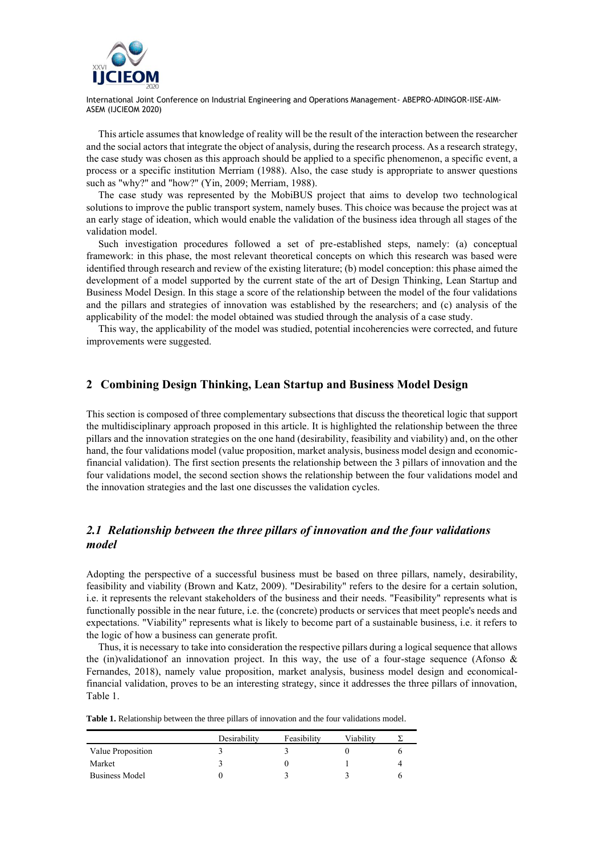

This article assumes that knowledge of reality will be the result of the interaction between the researcher and the social actors that integrate the object of analysis, during the research process. As a research strategy, the case study was chosen as this approach should be applied to a specific phenomenon, a specific event, a process or a specific institution Merriam (1988). Also, the case study is appropriate to answer questions such as "why?" and "how?" (Yin, 2009; Merriam, 1988).

The case study was represented by the MobiBUS project that aims to develop two technological solutions to improve the public transport system, namely buses. This choice was because the project was at an early stage of ideation, which would enable the validation of the business idea through all stages of the validation model.

Such investigation procedures followed a set of pre-established steps, namely: (a) conceptual framework: in this phase, the most relevant theoretical concepts on which this research was based were identified through research and review of the existing literature; (b) model conception: this phase aimed the development of a model supported by the current state of the art of Design Thinking, Lean Startup and Business Model Design. In this stage a score of the relationship between the model of the four validations and the pillars and strategies of innovation was established by the researchers; and (c) analysis of the applicability of the model: the model obtained was studied through the analysis of a case study.

This way, the applicability of the model was studied, potential incoherencies were corrected, and future improvements were suggested.

## **2 Combining Design Thinking, Lean Startup and Business Model Design**

This section is composed of three complementary subsections that discuss the theoretical logic that support the multidisciplinary approach proposed in this article. It is highlighted the relationship between the three pillars and the innovation strategies on the one hand (desirability, feasibility and viability) and, on the other hand, the four validations model (value proposition, market analysis, business model design and economicfinancial validation). The first section presents the relationship between the 3 pillars of innovation and the four validations model, the second section shows the relationship between the four validations model and the innovation strategies and the last one discusses the validation cycles.

# *2.1 Relationship between the three pillars of innovation and the four validations model*

Adopting the perspective of a successful business must be based on three pillars, namely, desirability, feasibility and viability (Brown and Katz, 2009). "Desirability" refers to the desire for a certain solution, i.e. it represents the relevant stakeholders of the business and their needs. "Feasibility" represents what is functionally possible in the near future, i.e. the (concrete) products or services that meet people's needs and expectations. "Viability" represents what is likely to become part of a sustainable business, i.e. it refers to the logic of how a business can generate profit.

Thus, it is necessary to take into consideration the respective pillars during a logical sequence that allows the (in)validation f an innovation project. In this way, the use of a four-stage sequence (Afonso  $\&$ Fernandes, 2018), namely value proposition, market analysis, business model design and economicalfinancial validation, proves to be an interesting strategy, since it addresses the three pillars of innovation, [Table 1.](#page-2-0)

<span id="page-2-0"></span>

|  |  | <b>Table 1.</b> Relationship between the three pillars of innovation and the four validations model. |
|--|--|------------------------------------------------------------------------------------------------------|
|--|--|------------------------------------------------------------------------------------------------------|

|                   | Desirability | Feasibility | Viabilitv |  |
|-------------------|--------------|-------------|-----------|--|
| Value Proposition |              |             |           |  |
| Market            |              |             |           |  |
| Business Model    |              |             |           |  |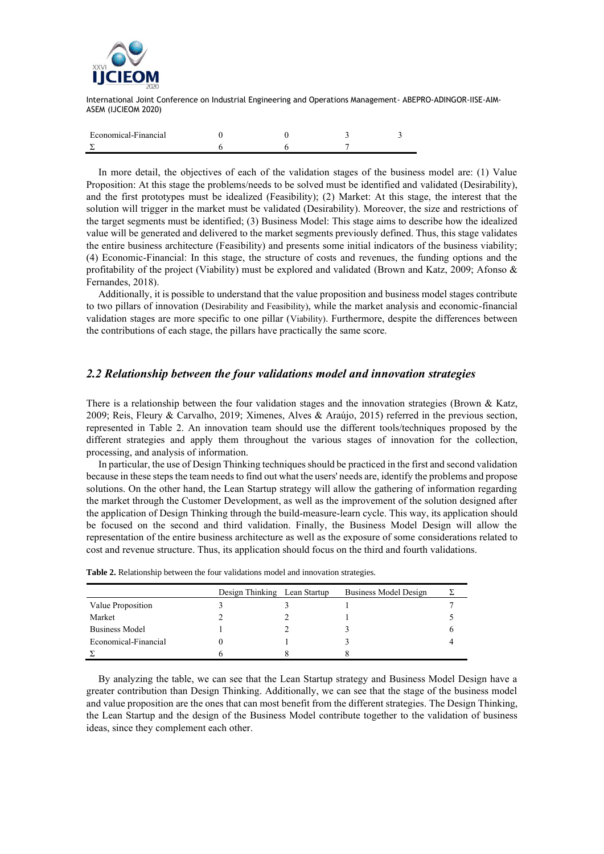

| Economical-Financial |  |  |
|----------------------|--|--|
|                      |  |  |

In more detail, the objectives of each of the validation stages of the business model are: (1) Value Proposition: At this stage the problems/needs to be solved must be identified and validated (Desirability), and the first prototypes must be idealized (Feasibility); (2) Market: At this stage, the interest that the solution will trigger in the market must be validated (Desirability). Moreover, the size and restrictions of the target segments must be identified; (3) Business Model: This stage aims to describe how the idealized value will be generated and delivered to the market segments previously defined. Thus, this stage validates the entire business architecture (Feasibility) and presents some initial indicators of the business viability; (4) Economic-Financial: In this stage, the structure of costs and revenues, the funding options and the profitability of the project (Viability) must be explored and validated (Brown and Katz, 2009; Afonso & Fernandes, 2018).

Additionally, it is possible to understand that the value proposition and business model stages contribute to two pillars of innovation (Desirability and Feasibility), while the market analysis and economic-financial validation stages are more specific to one pillar (Viability). Furthermore, despite the differences between the contributions of each stage, the pillars have practically the same score.

## *2.2 Relationship between the four validations model and innovation strategies*

There is a relationship between the four validation stages and the innovation strategies (Brown & Katz, 2009; Reis, Fleury & Carvalho, 2019; Ximenes, Alves & Araújo, 2015) referred in the previous section, represented in [Table 2.](#page-3-0) An innovation team should use the different tools/techniques proposed by the different strategies and apply them throughout the various stages of innovation for the collection, processing, and analysis of information.

In particular, the use of Design Thinking techniques should be practiced in the first and second validation because in these steps the team needs to find out what the users' needs are, identify the problems and propose solutions. On the other hand, the Lean Startup strategy will allow the gathering of information regarding the market through the Customer Development, as well as the improvement of the solution designed after the application of Design Thinking through the build-measure-learn cycle. This way, its application should be focused on the second and third validation. Finally, the Business Model Design will allow the representation of the entire business architecture as well as the exposure of some considerations related to cost and revenue structure. Thus, its application should focus on the third and fourth validations.

|                       | Design Thinking Lean Startup | Business Model Design |  |
|-----------------------|------------------------------|-----------------------|--|
| Value Proposition     |                              |                       |  |
| Market                |                              |                       |  |
| <b>Business Model</b> |                              |                       |  |
| Economical-Financial  |                              |                       |  |
|                       |                              |                       |  |

<span id="page-3-0"></span>**Table 2.** Relationship between the four validations model and innovation strategies.

By analyzing the table, we can see that the Lean Startup strategy and Business Model Design have a greater contribution than Design Thinking. Additionally, we can see that the stage of the business model and value proposition are the ones that can most benefit from the different strategies. The Design Thinking, the Lean Startup and the design of the Business Model contribute together to the validation of business ideas, since they complement each other.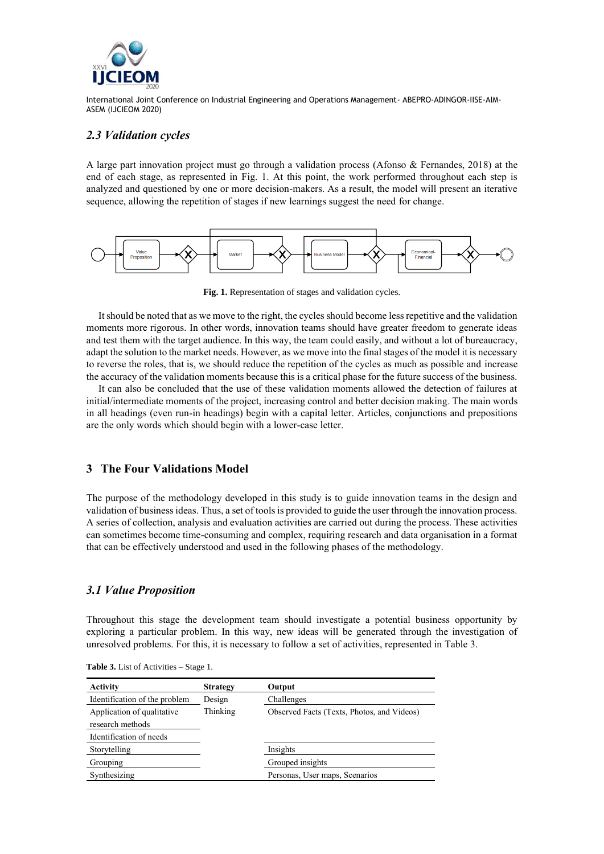

## *2.3 Validation cycles*

A large part innovation project must go through a validation process (Afonso & Fernandes, 2018) at the end of each stage, as represented in [Fig. 1.](#page-4-0) At this point, the work performed throughout each step is analyzed and questioned by one or more decision-makers. As a result, the model will present an iterative sequence, allowing the repetition of stages if new learnings suggest the need for change.



**Fig. 1.** Representation of stages and validation cycles.

<span id="page-4-0"></span>It should be noted that as we move to the right, the cycles should become less repetitive and the validation moments more rigorous. In other words, innovation teams should have greater freedom to generate ideas and test them with the target audience. In this way, the team could easily, and without a lot of bureaucracy, adapt the solution to the market needs. However, as we move into the final stages of the model it is necessary to reverse the roles, that is, we should reduce the repetition of the cycles as much as possible and increase the accuracy of the validation moments because this is a critical phase for the future success of the business.

It can also be concluded that the use of these validation moments allowed the detection of failures at initial/intermediate moments of the project, increasing control and better decision making. The main words in all headings (even run-in headings) begin with a capital letter. Articles, conjunctions and prepositions are the only words which should begin with a lower-case letter.

# **3 The Four Validations Model**

The purpose of the methodology developed in this study is to guide innovation teams in the design and validation of business ideas. Thus, a set of tools is provided to guide the user through the innovation process. A series of collection, analysis and evaluation activities are carried out during the process. These activities can sometimes become time-consuming and complex, requiring research and data organisation in a format that can be effectively understood and used in the following phases of the methodology.

### *3.1 Value Proposition*

Throughout this stage the development team should investigate a potential business opportunity by exploring a particular problem. In this way, new ideas will be generated through the investigation of unresolved problems. For this, it is necessary to follow a set of activities, represented in [Table 3.](#page-4-1)

| <b>Activity</b>               | <b>Strategy</b> | Output                                     |
|-------------------------------|-----------------|--------------------------------------------|
| Identification of the problem | Design          | Challenges                                 |
| Application of qualitative    | Thinking        | Observed Facts (Texts, Photos, and Videos) |
| research methods              |                 |                                            |
| Identification of needs       |                 |                                            |
| Storytelling                  |                 | Insights                                   |
| Grouping                      |                 | Grouped insights                           |
| Synthesizing                  |                 | Personas, User maps, Scenarios             |

<span id="page-4-1"></span>**Table 3.** List of Activities – Stage 1.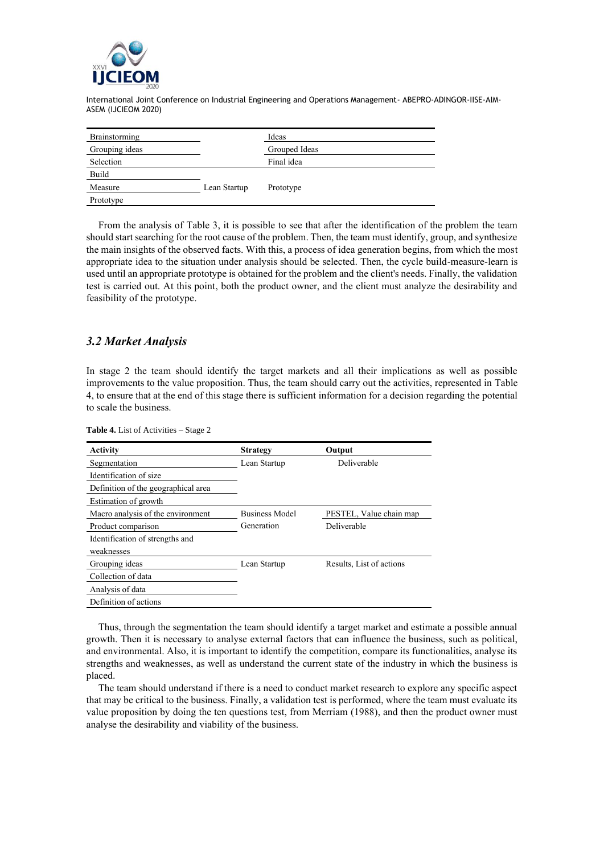

| Brainstorming  |              | Ideas         |
|----------------|--------------|---------------|
| Grouping ideas |              | Grouped Ideas |
| Selection      |              | Final idea    |
| Build          |              |               |
| Measure        | Lean Startup | Prototype     |
| Prototype      |              |               |

From the analysis of Table 3, it is possible to see that after the identification of the problem the team should start searching for the root cause of the problem. Then, the team must identify, group, and synthesize the main insights of the observed facts. With this, a process of idea generation begins, from which the most appropriate idea to the situation under analysis should be selected. Then, the cycle build-measure-learn is used until an appropriate prototype is obtained for the problem and the client's needs. Finally, the validation test is carried out. At this point, both the product owner, and the client must analyze the desirability and feasibility of the prototype.

## *3.2 Market Analysis*

In stage 2 the team should identify the target markets and all their implications as well as possible improvements to the value proposition. Thus, the team should carry out the activities, represented in [Table](#page-5-0)  [4,](#page-5-0) to ensure that at the end of this stage there is sufficient information for a decision regarding the potential to scale the business.

| <b>Activity</b>                     | <b>Strategy</b>       | Output                   |
|-------------------------------------|-----------------------|--------------------------|
| Segmentation                        | Lean Startup          | Deliverable              |
| Identification of size              |                       |                          |
| Definition of the geographical area |                       |                          |
| Estimation of growth                |                       |                          |
| Macro analysis of the environment   | <b>Business Model</b> | PESTEL, Value chain map  |
| Product comparison                  | Generation            | Deliverable              |
| Identification of strengths and     |                       |                          |
| weaknesses                          |                       |                          |
| Grouping ideas                      | Lean Startup          | Results, List of actions |
| Collection of data                  |                       |                          |
| Analysis of data                    |                       |                          |
| Definition of actions               |                       |                          |

<span id="page-5-0"></span>**Table 4.** List of Activities – Stage 2

Thus, through the segmentation the team should identify a target market and estimate a possible annual growth. Then it is necessary to analyse external factors that can influence the business, such as political, and environmental. Also, it is important to identify the competition, compare its functionalities, analyse its strengths and weaknesses, as well as understand the current state of the industry in which the business is placed.

The team should understand if there is a need to conduct market research to explore any specific aspect that may be critical to the business. Finally, a validation test is performed, where the team must evaluate its value proposition by doing the ten questions test, from Merriam (1988), and then the product owner must analyse the desirability and viability of the business.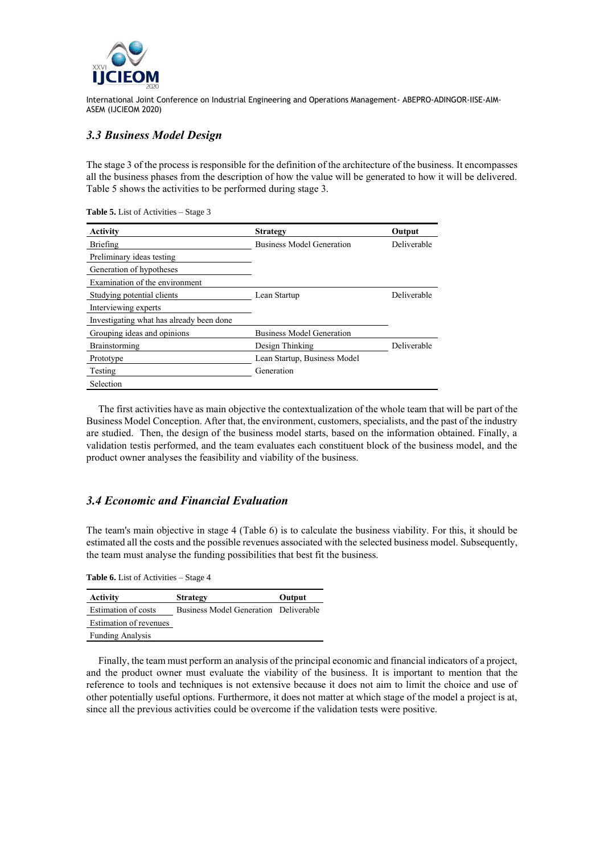

## *3.3 Business Model Design*

The stage 3 of the process is responsible for the definition of the architecture of the business. It encompasses all the business phases from the description of how the value will be generated to how it will be delivered. [Table 5](#page-6-0) shows the activities to be performed during stage 3.

<span id="page-6-0"></span>**Table 5.** List of Activities – Stage 3

| <b>Activity</b>                          | <b>Strategy</b>                  | Output             |
|------------------------------------------|----------------------------------|--------------------|
| Briefing                                 | <b>Business Model Generation</b> | <b>Deliverable</b> |
| Preliminary ideas testing                |                                  |                    |
| Generation of hypotheses                 |                                  |                    |
| Examination of the environment           |                                  |                    |
| Studying potential clients               | Lean Startup                     | Deliverable        |
| Interviewing experts                     |                                  |                    |
| Investigating what has already been done |                                  |                    |
| Grouping ideas and opinions              | <b>Business Model Generation</b> |                    |
| Brainstorming                            | Design Thinking                  | Deliverable        |
| Prototype                                | Lean Startup, Business Model     |                    |
| Testing                                  | Generation                       |                    |
| Selection                                |                                  |                    |

The first activities have as main objective the contextualization of the whole team that will be part of the Business Model Conception. After that, the environment, customers, specialists, and the past of the industry are studied. Then, the design of the business model starts, based on the information obtained. Finally, a validation testis performed, and the team evaluates each constituent block of the business model, and the product owner analyses the feasibility and viability of the business.

### *3.4 Economic and Financial Evaluation*

The team's main objective in stage 4 [\(Table 6\)](#page-6-1) is to calculate the business viability. For this, it should be estimated all the costs and the possible revenues associated with the selected business model. Subsequently, the team must analyse the funding possibilities that best fit the business.

<span id="page-6-1"></span>**Table 6.** List of Activities – Stage 4

| Activity                | <b>Strategy</b>                       | Output |
|-------------------------|---------------------------------------|--------|
| Estimation of costs     | Business Model Generation Deliverable |        |
| Estimation of revenues  |                                       |        |
| <b>Funding Analysis</b> |                                       |        |

Finally, the team must perform an analysis of the principal economic and financial indicators of a project, and the product owner must evaluate the viability of the business. It is important to mention that the reference to tools and techniques is not extensive because it does not aim to limit the choice and use of other potentially useful options. Furthermore, it does not matter at which stage of the model a project is at, since all the previous activities could be overcome if the validation tests were positive.